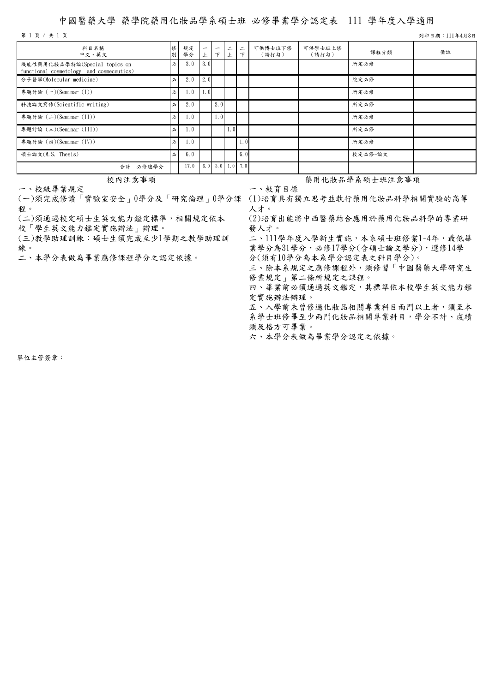## 中國醫藥大學 藥學院藥用化妝品學系碩士班 必修畢業學分認定表 111 學年度入學適用

第 1 頁 / 共 1 頁 列印日期:111年4月8日

| 科目名稱<br>中文、英文                                                             | 俢<br>別 | 規定<br>學分 | $\overline{\phantom{m}}$ | $\overline{\phantom{m}}$<br>$\tau$ | $\equiv$<br>上   | $\equiv$<br>$\tau$ | 可供博士班下修<br>(請打勾) | 可供學士班上修<br>(請打勾) | 課程分類    | 備註 |
|---------------------------------------------------------------------------|--------|----------|--------------------------|------------------------------------|-----------------|--------------------|------------------|------------------|---------|----|
| 機能性藥用化妝品學特論(Special topics on<br>functional cosmetology and cosmeceutics) | 必      | 3.0      | 3.0                      |                                    |                 |                    |                  |                  | 所定必修    |    |
| 分子醫學(Molecular medicine)                                                  | 必      | 2.0      | 2.0                      |                                    |                 |                    |                  |                  | 院定必修    |    |
| 專題討論 (一)(Seminar (I))                                                     | 必      | 1.0      | 1,0                      |                                    |                 |                    |                  |                  | 所定必修    |    |
| 科技論文寫作(Scientific writing)                                                | 必      | 2.0      |                          | 2.0                                |                 |                    |                  |                  | 所定必修    |    |
| 專題討論 (二)(Seminar (II))                                                    | 必      | 1.0      |                          | 1.01                               |                 |                    |                  |                  | 所定必修    |    |
| 專題討論 (三)(Seminar (III))                                                   | 必      | 1.0      |                          |                                    | 1.0             |                    |                  |                  | 所定必修    |    |
| 專題討論 (四)(Seminar (IV))                                                    | 必      | 1.0      |                          |                                    |                 | 1.0 <sub>l</sub>   |                  |                  | 所定必修    |    |
| 碩士論文(M.S. Thesis)                                                         | 必      | 6.0      |                          |                                    |                 | 6.0                |                  |                  | 校定必修-論文 |    |
| 必修總學分<br>合計                                                               |        | 17.0     |                          |                                    | 6.0 3.0 1.0 7.0 |                    |                  |                  |         |    |

一、校級畢業規定

(一)須完成修讀「實驗室安全」0學分及「研究倫理」0學分課 (1)培育具有獨立思考並執行藥用化妝品科學相關實驗的高等 程。

(二)須通過校定碩士生英文能力鑑定標準,相關規定依本

校「學生英文能力鑑定實施辦法」辦理。

(三)教學助理訓練:碩士生須完成至少1學期之教學助理訓 練。<br>二、本學分表做為畢業應修課程學分之認定依據。

校內注意事項 藥用化妝品學系碩士班注意事項

一、教育目標

人才。

(2)培育出能將中西醫藥結合應用於藥用化妝品科學的專業研 發人才。

二、111學年度入學新生實施,本系碩士班修業1~4年,最低畢 業學分為31學分,必修17學分(含碩士論文學分),選修14學

分(須有10學分為本系學分認定表之科目學分)。

三、除本系規定之應修課程外,須修習「中國醫藥大學研究生 修業規定」第二條所規定之課程。

四、畢業前必須通過英文鑑定,其標準依本校學生英文能力鑑 定實施辦法辦理。

五、入學前未曾修過化妝品相關專業科目兩門以上者,須至本 系學士班修畢至少兩門化妝品相關專業科目,學分不計、成績 須及格方可畢業。

六、本學分表做為畢業學分認定之依據。

單位主管簽章: